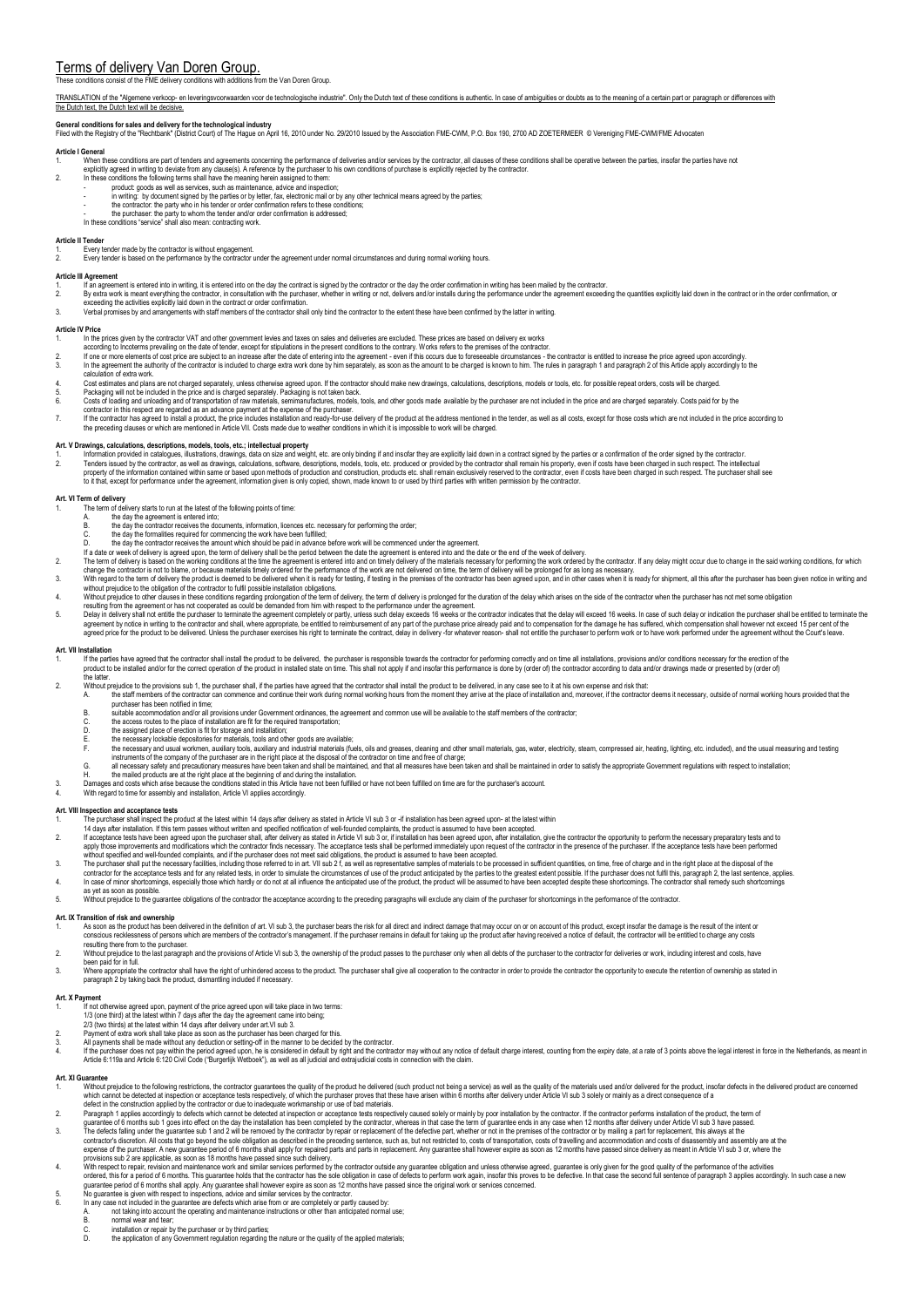# Terms of delivery Van Doren Group.

# the Van Doren Group

### TRANSLATION of the "Algemene verkoop- en leveringsyoonwaarden yoor de technologische industrie". Only the Dutch text of these conditions is authentic. In case of ambiguities or doubts as to the meaning of a certain part or the Dutch text, the Dutch text will be decisive.

General conditions for sales and delivery for the technological industry<br>Filed with the Registry of the "Rechtbank" (District Court) of The Hague on April 16, 2010 under No. 29/2010 Issued by the Association FME-CWM, P.O.

- Article General<br>
1. When these conditions are part of tenders and agreements concerning the performance of deliveries and/or services by the contractor, all clauses of these conditions shall be operative between the partie
	-
	-
	-
	-
	-

- 
- **Article II Tender**  1. Every tender made by the contractor is without engagement. 2. Every tender is based on the performance by the contractor under the agreement under normal circumstances and during normal working hours.

- Article III Agreement<br>1. If an agreement is entered into in writing, it is entered into on the day the contract is signed by the contractor or the day the order confirmation in writing has been mailed by the contractor.
- 2. By extra work is meant everything the contractor, in consultation with the purchaser, whether in writing or not, delivers and/or installs during the performance under the agreement exceeding the quantities explicitly la
- 

## **Article IV Price**

- 
- 
- 1. In the prices given by the contractor VAT and other government levies and states and deliveries are based. These prices are based on delivery as words.<br>The one contract in the present conditions in the present condition
- 
- 
- 

- Art Drawings, calculations, decarbitions, models, tools, etc.; intellectual property<br>- Information calculations, illustrations, and the intervent of the contractor in the contractor.<br>- Tenderi stand by the contractor, as w
- 
- **Art. VI Term of delivery**  ...................<br>The term of delivery starts to run at the latest of the following points of time:
	-
	- A. the day the agreement is entered into;<br>A. the day the agreement is entered into;<br>B. the day the contractor receives the documents, information, licences etc. necessary for performing the order;
		-
	-
	-
- 
- 
- 
- B. the day the contractor receives the documents, information, licences etc. necesses the day the contractor indical the appear of the greater of the greater of the contract receives for expectation and the date of the wee
- Art. VII Installation<br>1. If the narties have agreed that the contractor shall install the product to be delivered. the purchaser is responsible towards the contractor for performing correctly and on time all installations,

1. If the parties have agreed that the contractor shall install the product to be delivered, the purchaser is responsible towards the contractor for performing correctly and on time all installations, provisions and/or con

- without prejudice to the provisions sub 1, the purchaser shall, if the parties have agreed that the contractor shall install the product to be delivered, in any case see to it at his own expense and risk that:
	- the staff members of the contractor can commence and continue their work during normal working hours from the moment they arrive at the place of installation and, moreover, if the contractor deems it necessary, outside of purchaser has been notified in time
		- B. suitable accommodation and/or all provisions under Government ordinances, the agreement and common use will be available to the staff members of the contractor;<br>C. the access routes to the place of installation and func
		-
		-
- C. the acsigned place of erection is fit for storage and installation, are fit for energited transportation;<br>B. the access or these for materials, tools and other goods are available;<br>F. the necessary lockable depositories
	-
	-
	-

- 
- 
- Art. VIII Inspection and acceptance tests<br>1. The purchaser shall inspect the product at the latest within 14 days after delivery as stated in Article VI sub 3 or -if installation has been agreed upon- at the latest within<br>
- apply those improvements and modifications which the contractor finds necessary. The acceptance tests shall be performed immediately upon request of the contractor in the presence of the purchaser. If the acceptance tests
- 
- ontrador for the acceptance tests and for any related tests in order to simulate the criumatances of use of the product, the particum onterated by the particum enders to the product metal of the product the product will be as yet as soon as possible.

## 5. Without prejudice to the guarantee obligations of the contractor the acceptance according to the preceding paragraphs will exclude any claim of the purchaser for shortcomings in the performance of the contractor.

- Art. IX Transition of risk and ownership<br>1. As soon as the product has been delivered in the definition of art. VI sub 3, the purchaser bears the risk for all direct and indirect damage that may occur on or on account of t
- 
- resulting there from to the purchaser.<br>2. Without prejudice to the last paragraph and the provisions of Article VI sub 3, the ownership of the product passes to the purchaser only when all debts of the purchaser to the con
- 3. Where appropriate the contractor shall have the right of unhindered access to the product. The purchaser shall give all cooperation to the contractor in order to provide the contractor the opportunity to execute the ret

- 
- 
- 
- **Art. X Payment**<br>1. In the distance of the price agreed upon, payment of the price agreed upon will take place in two terms:<br>173 (noe third) at the latest within 7 days after the day the agreement came into being;<br>273 (two
- 4. If the purchaser does not pay within the period agreed upon, he is considered in default by right and the contractor may without any notice of default charge interest, counting from the expiry date, at a rate of 3 point

### **Art. XI Guarantee**

- Without prejudice to the following restrictions, the contractor quarantees the public of the product be delivered (such product ont being a service) as well as the quality of the materials used and/or delivered for the pro which cannot be detected at inspection or acceptance tests respectively, of which the purchaser proves that these have arisen within 6 months after delivery under Article VI sub 3 solely or mainly as a direct consequence of a
- defect in the construction applied by the contractor or due to inadequate workmanship or use of bad materials.<br>Paragraph 1 applies accordingly to defects which cannot be detected at inspection or acceptance tests respectiv
- 
- 
- 
- 2. Paragraph 1 applies accordingly to defect which cannot be delected at inspection re acceptance is which contents sub 1 goes into effect on the day the installation has been completed by the contractor, whereas in state
- 
- 
- 
- D. The final mean and tean,<br>D. The application or repair by the purchaser or by third parties;<br>D. the application of any Government regulation regarding the nature or the quality of the applied mater